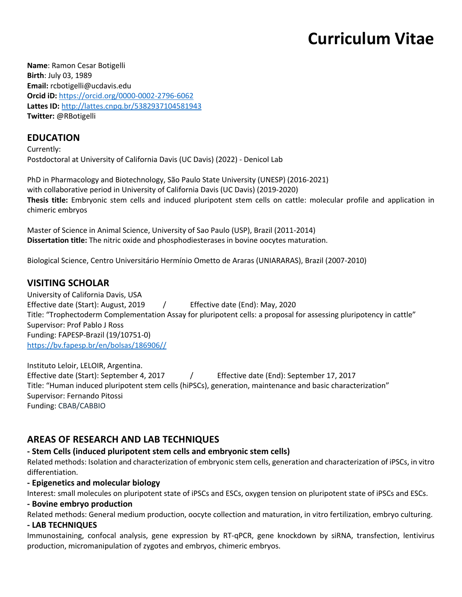# **Curriculum Vitae**

**Name**: Ramon Cesar Botigelli **Birth**: July 03, 1989 **Email:** rcbotigelli@ucdavis.edu **Orcid iD:** https://orcid.org/0000-0002-2796-6062 **Lattes ID:** http://lattes.cnpq.br/5382937104581943 **Twitter:** @RBotigelli

## **EDUCATION**

Currently: Postdoctoral at University of California Davis (UC Davis) (2022) - Denicol Lab

PhD in Pharmacology and Biotechnology, São Paulo State University (UNESP) (2016-2021) with collaborative period in University of California Davis (UC Davis) (2019-2020) **Thesis title:** Embryonic stem cells and induced pluripotent stem cells on cattle: molecular profile and application in chimeric embryos

Master of Science in Animal Science, University of Sao Paulo (USP), Brazil (2011-2014) **Dissertation title:** The nitric oxide and phosphodiesterases in bovine oocytes maturation.

Biological Science, Centro Universitário Hermínio Ometto de Araras (UNIARARAS), Brazil (2007-2010)

## **VISITING SCHOLAR**

University of California Davis, USA Effective date (Start): August, 2019 / Effective date (End): May, 2020 Title: "Trophectoderm Complementation Assay for pluripotent cells: a proposal for assessing pluripotency in cattle" Supervisor: Prof Pablo J Ross Funding: FAPESP-Brazil (19/10751-0) https://bv.fapesp.br/en/bolsas/186906//

Instituto Leloir, LELOIR, Argentina. Effective date (Start): September 4, 2017 / Effective date (End): September 17, 2017 Title: "Human induced pluripotent stem cells (hiPSCs), generation, maintenance and basic characterization" Supervisor: Fernando Pitossi Funding: CBAB/CABBIO

## **AREAS OF RESEARCH AND LAB TECHNIQUES**

#### **- Stem Cells (induced pluripotent stem cells and embryonic stem cells)**

Related methods: Isolation and characterization of embryonic stem cells, generation and characterization of iPSCs, in vitro differentiation.

#### **- Epigenetics and molecular biology**

Interest: small molecules on pluripotent state of iPSCs and ESCs, oxygen tension on pluripotent state of iPSCs and ESCs.

#### **- Bovine embryo production**

Related methods: General medium production, oocyte collection and maturation, in vitro fertilization, embryo culturing.

#### **- LAB TECHNIQUES**

Immunostaining, confocal analysis, gene expression by RT-qPCR, gene knockdown by siRNA, transfection, lentivirus production, micromanipulation of zygotes and embryos, chimeric embryos.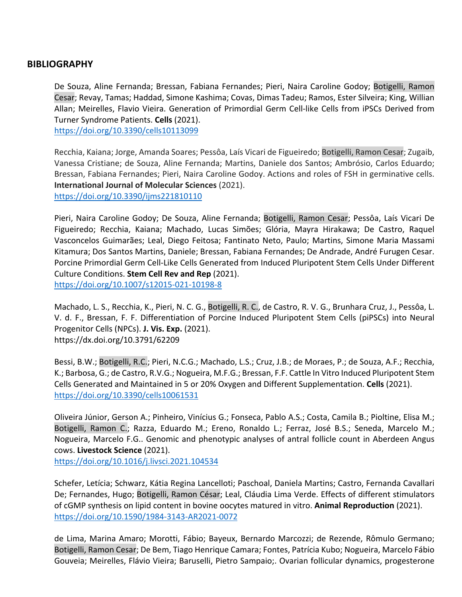### **BIBLIOGRAPHY**

De Souza, Aline Fernanda; Bressan, Fabiana Fernandes; Pieri, Naira Caroline Godoy; Botigelli, Ramon Cesar; Revay, Tamas; Haddad, Simone Kashima; Covas, Dimas Tadeu; Ramos, Ester Silveira; King, Willian Allan; Meirelles, Flavio Vieira. Generation of Primordial Germ Cell-like Cells from iPSCs Derived from Turner Syndrome Patients. **Cells** (2021).

https://doi.org/10.3390/cells10113099

Recchia, Kaiana; Jorge, Amanda Soares; Pessôa, Laís Vicari de Figueiredo; Botigelli, Ramon Cesar; Zugaib, Vanessa Cristiane; de Souza, Aline Fernanda; Martins, Daniele dos Santos; Ambrósio, Carlos Eduardo; Bressan, Fabiana Fernandes; Pieri, Naira Caroline Godoy. Actions and roles of FSH in germinative cells. **International Journal of Molecular Sciences** (2021). https://doi.org/10.3390/ijms221810110

Pieri, Naira Caroline Godoy; De Souza, Aline Fernanda; Botigelli, Ramon Cesar; Pessôa, Laís Vicari De Figueiredo; Recchia, Kaiana; Machado, Lucas Simões; Glória, Mayra Hirakawa; De Castro, Raquel Vasconcelos Guimarães; Leal, Diego Feitosa; Fantinato Neto, Paulo; Martins, Simone Maria Massami Kitamura; Dos Santos Martins, Daniele; Bressan, Fabiana Fernandes; De Andrade, André Furugen Cesar. Porcine Primordial Germ Cell-Like Cells Generated from Induced Pluripotent Stem Cells Under Different Culture Conditions. **Stem Cell Rev and Rep** (2021). https://doi.org/10.1007/s12015-021-10198-8

Machado, L. S., Recchia, K., Pieri, N. C. G., Botigelli, R. C., de Castro, R. V. G., Brunhara Cruz, J., Pessôa, L. V. d. F., Bressan, F. F. Differentiation of Porcine Induced Pluripotent Stem Cells (piPSCs) into Neural Progenitor Cells (NPCs). **J. Vis. Exp.** (2021). https://dx.doi.org/10.3791/62209

Bessi, B.W.; Botigelli, R.C.; Pieri, N.C.G.; Machado, L.S.; Cruz, J.B.; de Moraes, P.; de Souza, A.F.; Recchia, K.; Barbosa, G.; de Castro, R.V.G.; Nogueira, M.F.G.; Bressan, F.F. Cattle In Vitro Induced Pluripotent Stem Cells Generated and Maintained in 5 or 20% Oxygen and Different Supplementation. **Cells** (2021). https://doi.org/10.3390/cells10061531

Oliveira Júnior, Gerson A.; Pinheiro, Vinícius G.; Fonseca, Pablo A.S.; Costa, Camila B.; Pioltine, Elisa M.; Botigelli, Ramon C.; Razza, Eduardo M.; Ereno, Ronaldo L.; Ferraz, José B.S.; Seneda, Marcelo M.; Nogueira, Marcelo F.G.. Genomic and phenotypic analyses of antral follicle count in Aberdeen Angus cows. **Livestock Science** (2021).

https://doi.org/10.1016/j.livsci.2021.104534

Schefer, Letícia; Schwarz, Kátia Regina Lancelloti; Paschoal, Daniela Martins; Castro, Fernanda Cavallari De; Fernandes, Hugo; Botigelli, Ramon César; Leal, Cláudia Lima Verde. Effects of different stimulators of cGMP synthesis on lipid content in bovine oocytes matured in vitro. **Animal Reproduction** (2021). https://doi.org/10.1590/1984-3143-AR2021-0072

de Lima, Marina Amaro; Morotti, Fábio; Bayeux, Bernardo Marcozzi; de Rezende, Rômulo Germano; Botigelli, Ramon Cesar; De Bem, Tiago Henrique Camara; Fontes, Patrícia Kubo; Nogueira, Marcelo Fábio Gouveia; Meirelles, Flávio Vieira; Baruselli, Pietro Sampaio;. Ovarian follicular dynamics, progesterone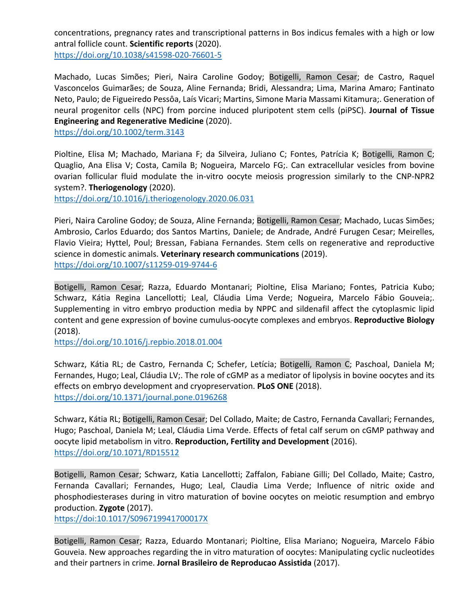concentrations, pregnancy rates and transcriptional patterns in Bos indicus females with a high or low antral follicle count. **Scientific reports** (2020).

https://doi.org/10.1038/s41598-020-76601-5

Machado, Lucas Simões; Pieri, Naira Caroline Godoy; Botigelli, Ramon Cesar; de Castro, Raquel Vasconcelos Guimarães; de Souza, Aline Fernanda; Bridi, Alessandra; Lima, Marina Amaro; Fantinato Neto, Paulo; de Figueiredo Pessôa, Laís Vicari; Martins, Simone Maria Massami Kitamura;. Generation of neural progenitor cells (NPC) from porcine induced pluripotent stem cells (piPSC). **Journal of Tissue Engineering and Regenerative Medicine** (2020).

https://doi.org/10.1002/term.3143

Pioltine, Elisa M; Machado, Mariana F; da Silveira, Juliano C; Fontes, Patrícia K; Botigelli, Ramon C; Quaglio, Ana Elisa V; Costa, Camila B; Nogueira, Marcelo FG;. Can extracellular vesicles from bovine ovarian follicular fluid modulate the in-vitro oocyte meiosis progression similarly to the CNP-NPR2 system?. **Theriogenology** (2020).

https://doi.org/10.1016/j.theriogenology.2020.06.031

Pieri, Naira Caroline Godoy; de Souza, Aline Fernanda; Botigelli, Ramon Cesar; Machado, Lucas Simões; Ambrosio, Carlos Eduardo; dos Santos Martins, Daniele; de Andrade, André Furugen Cesar; Meirelles, Flavio Vieira; Hyttel, Poul; Bressan, Fabiana Fernandes. Stem cells on regenerative and reproductive science in domestic animals. **Veterinary research communications** (2019). https://doi.org/10.1007/s11259-019-9744-6

Botigelli, Ramon Cesar; Razza, Eduardo Montanari; Pioltine, Elisa Mariano; Fontes, Patricia Kubo; Schwarz, Kátia Regina Lancellotti; Leal, Cláudia Lima Verde; Nogueira, Marcelo Fábio Gouveia;. Supplementing in vitro embryo production media by NPPC and sildenafil affect the cytoplasmic lipid content and gene expression of bovine cumulus-oocyte complexes and embryos. **Reproductive Biology** (2018).

https://doi.org/10.1016/j.repbio.2018.01.004

Schwarz, Kátia RL; de Castro, Fernanda C; Schefer, Letícia; Botigelli, Ramon C; Paschoal, Daniela M; Fernandes, Hugo; Leal, Cláudia LV;. The role of cGMP as a mediator of lipolysis in bovine oocytes and its effects on embryo development and cryopreservation. **PLoS ONE** (2018). https://doi.org/10.1371/journal.pone.0196268

Schwarz, Kátia RL; Botigelli, Ramon Cesar; Del Collado, Maite; de Castro, Fernanda Cavallari; Fernandes, Hugo; Paschoal, Daniela M; Leal, Cláudia Lima Verde. Effects of fetal calf serum on cGMP pathway and oocyte lipid metabolism in vitro. **Reproduction, Fertility and Development** (2016). https://doi.org/10.1071/RD15512

Botigelli, Ramon Cesar; Schwarz, Katia Lancellotti; Zaffalon, Fabiane Gilli; Del Collado, Maite; Castro, Fernanda Cavallari; Fernandes, Hugo; Leal, Claudia Lima Verde; Influence of nitric oxide and phosphodiesterases during in vitro maturation of bovine oocytes on meiotic resumption and embryo production. **Zygote** (2017).

https://doi:10.1017/S096719941700017X

Botigelli, Ramon Cesar; Razza, Eduardo Montanari; Pioltine, Elisa Mariano; Nogueira, Marcelo Fábio Gouveia. New approaches regarding the in vitro maturation of oocytes: Manipulating cyclic nucleotides and their partners in crime. **Jornal Brasileiro de Reproducao Assistida** (2017).